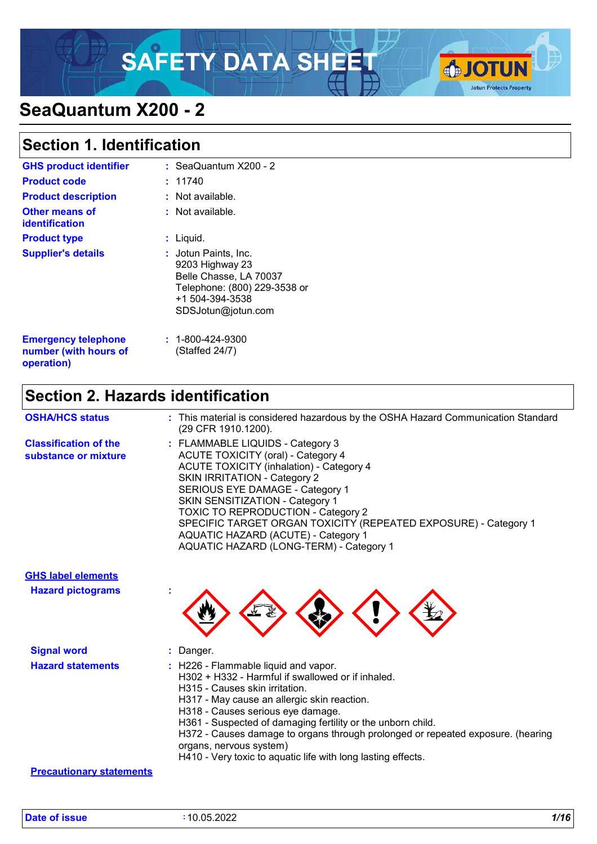# SAFETY DATA SHEET **SAFETY**



# **SeaQuantum X200 - 2**

### **Section 1. Identification**

| <b>GHS product identifier</b>                                     |    | : SeaQuantum X200 - 2                                                                                                                              |
|-------------------------------------------------------------------|----|----------------------------------------------------------------------------------------------------------------------------------------------------|
| <b>Product code</b>                                               |    | : 11740                                                                                                                                            |
| <b>Product description</b>                                        |    | $:$ Not available.                                                                                                                                 |
| Other means of<br>identification                                  |    | $:$ Not available.                                                                                                                                 |
| <b>Product type</b>                                               | t. | Liquid.                                                                                                                                            |
| <b>Supplier's details</b>                                         |    | <b>: J</b> otun Paints, Inc.<br>9203 Highway 23<br>Belle Chasse, LA 70037<br>Telephone: (800) 229-3538 or<br>+1 504-394-3538<br>SDSJotun@jotun.com |
| <b>Emergency telephone</b><br>number (with hours of<br>operation) |    | $: 1 - 800 - 424 - 9300$<br>(Staffed 24/7)                                                                                                         |

### **Section 2. Hazards identification**

| <b>OSHA/HCS status</b>                               | : This material is considered hazardous by the OSHA Hazard Communication Standard<br>(29 CFR 1910.1200).                                                                                                                                                                                                                                                                                                                                               |
|------------------------------------------------------|--------------------------------------------------------------------------------------------------------------------------------------------------------------------------------------------------------------------------------------------------------------------------------------------------------------------------------------------------------------------------------------------------------------------------------------------------------|
| <b>Classification of the</b><br>substance or mixture | : FLAMMABLE LIQUIDS - Category 3<br><b>ACUTE TOXICITY (oral) - Category 4</b><br><b>ACUTE TOXICITY (inhalation) - Category 4</b><br><b>SKIN IRRITATION - Category 2</b><br>SERIOUS EYE DAMAGE - Category 1<br><b>SKIN SENSITIZATION - Category 1</b><br><b>TOXIC TO REPRODUCTION - Category 2</b><br>SPECIFIC TARGET ORGAN TOXICITY (REPEATED EXPOSURE) - Category 1<br>AQUATIC HAZARD (ACUTE) - Category 1<br>AQUATIC HAZARD (LONG-TERM) - Category 1 |

# **GHS label elements**

**Hazard pictograms :**



| <b>Signal word</b>       | Danger.                                                                                                                                                                                                                                                                                                                                                                                                                                                                 |
|--------------------------|-------------------------------------------------------------------------------------------------------------------------------------------------------------------------------------------------------------------------------------------------------------------------------------------------------------------------------------------------------------------------------------------------------------------------------------------------------------------------|
| <b>Hazard statements</b> | $\therefore$ H226 - Flammable liquid and vapor.<br>H302 + H332 - Harmful if swallowed or if inhaled.<br>H315 - Causes skin irritation.<br>H317 - May cause an allergic skin reaction.<br>H318 - Causes serious eye damage.<br>H361 - Suspected of damaging fertility or the unborn child.<br>H372 - Causes damage to organs through prolonged or repeated exposure. (hearing<br>organs, nervous system)<br>H410 - Very toxic to aquatic life with long lasting effects. |

#### **Precautionary statements**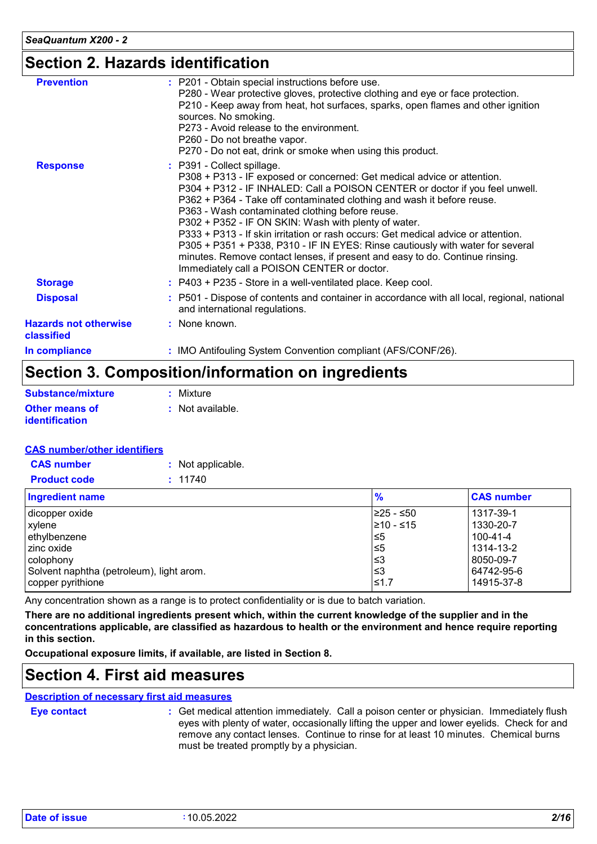### **Section 2. Hazards identification**

| <b>Hazards not otherwise</b><br>classified | : None known.                                                                                                                                                                                                                                                                                                                                                                                                                                                                                                                                                                                                                                                                    |
|--------------------------------------------|----------------------------------------------------------------------------------------------------------------------------------------------------------------------------------------------------------------------------------------------------------------------------------------------------------------------------------------------------------------------------------------------------------------------------------------------------------------------------------------------------------------------------------------------------------------------------------------------------------------------------------------------------------------------------------|
| <b>Disposal</b>                            | : P501 - Dispose of contents and container in accordance with all local, regional, national<br>and international regulations.                                                                                                                                                                                                                                                                                                                                                                                                                                                                                                                                                    |
| <b>Storage</b>                             | : P403 + P235 - Store in a well-ventilated place. Keep cool.                                                                                                                                                                                                                                                                                                                                                                                                                                                                                                                                                                                                                     |
| <b>Response</b>                            | : P391 - Collect spillage.<br>P308 + P313 - IF exposed or concerned: Get medical advice or attention.<br>P304 + P312 - IF INHALED: Call a POISON CENTER or doctor if you feel unwell.<br>P362 + P364 - Take off contaminated clothing and wash it before reuse.<br>P363 - Wash contaminated clothing before reuse.<br>P302 + P352 - IF ON SKIN: Wash with plenty of water.<br>P333 + P313 - If skin irritation or rash occurs: Get medical advice or attention.<br>P305 + P351 + P338, P310 - IF IN EYES: Rinse cautiously with water for several<br>minutes. Remove contact lenses, if present and easy to do. Continue rinsing.<br>Immediately call a POISON CENTER or doctor. |
| <b>Prevention</b>                          | : P201 - Obtain special instructions before use.<br>P280 - Wear protective gloves, protective clothing and eye or face protection.<br>P210 - Keep away from heat, hot surfaces, sparks, open flames and other ignition<br>sources. No smoking.<br>P273 - Avoid release to the environment.<br>P260 - Do not breathe vapor.<br>P270 - Do not eat, drink or smoke when using this product.                                                                                                                                                                                                                                                                                         |

### **Section 3. Composition/information on ingredients**

| Substance/mixture                              | : Mixture        |
|------------------------------------------------|------------------|
| <b>Other means of</b><br><b>identification</b> | : Not available. |

#### **CAS number/other identifiers**

| <b>CAS</b> number   | : Not applicable. |
|---------------------|-------------------|
| <b>Product code</b> | : 11740           |

| <b>Ingredient name</b>                   | $\frac{9}{6}$   | <b>CAS number</b> |
|------------------------------------------|-----------------|-------------------|
| dicopper oxide                           | I≥25 - ≤50      | 1317-39-1         |
| xylene                                   | $\geq 10 - 515$ | 1330-20-7         |
| ethylbenzene                             | 5≥ا             | $100 - 41 - 4$    |
| zinc oxide                               | 5≥ا             | 1314-13-2         |
| colophony                                | l≤3             | 8050-09-7         |
| Solvent naphtha (petroleum), light arom. | ՝≤3             | 64742-95-6        |
| copper pyrithione                        | ≤1.7            | 14915-37-8        |

Any concentration shown as a range is to protect confidentiality or is due to batch variation.

**There are no additional ingredients present which, within the current knowledge of the supplier and in the concentrations applicable, are classified as hazardous to health or the environment and hence require reporting in this section.**

**Occupational exposure limits, if available, are listed in Section 8.**

### **Section 4. First aid measures**

#### **Description of necessary first aid measures**

**Eye contact :**

Get medical attention immediately. Call a poison center or physician. Immediately flush eyes with plenty of water, occasionally lifting the upper and lower eyelids. Check for and remove any contact lenses. Continue to rinse for at least 10 minutes. Chemical burns must be treated promptly by a physician.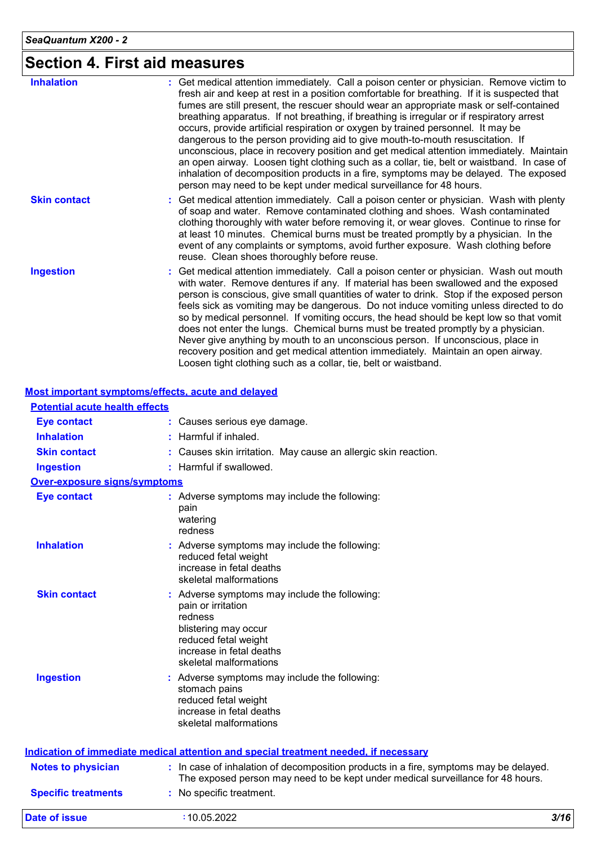# **Section 4. First aid measures**

| <b>Inhalation</b>   | : Get medical attention immediately. Call a poison center or physician. Remove victim to<br>fresh air and keep at rest in a position comfortable for breathing. If it is suspected that<br>fumes are still present, the rescuer should wear an appropriate mask or self-contained<br>breathing apparatus. If not breathing, if breathing is irregular or if respiratory arrest<br>occurs, provide artificial respiration or oxygen by trained personnel. It may be<br>dangerous to the person providing aid to give mouth-to-mouth resuscitation. If<br>unconscious, place in recovery position and get medical attention immediately. Maintain<br>an open airway. Loosen tight clothing such as a collar, tie, belt or waistband. In case of<br>inhalation of decomposition products in a fire, symptoms may be delayed. The exposed<br>person may need to be kept under medical surveillance for 48 hours. |
|---------------------|--------------------------------------------------------------------------------------------------------------------------------------------------------------------------------------------------------------------------------------------------------------------------------------------------------------------------------------------------------------------------------------------------------------------------------------------------------------------------------------------------------------------------------------------------------------------------------------------------------------------------------------------------------------------------------------------------------------------------------------------------------------------------------------------------------------------------------------------------------------------------------------------------------------|
| <b>Skin contact</b> | : Get medical attention immediately. Call a poison center or physician. Wash with plenty<br>of soap and water. Remove contaminated clothing and shoes. Wash contaminated<br>clothing thoroughly with water before removing it, or wear gloves. Continue to rinse for<br>at least 10 minutes. Chemical burns must be treated promptly by a physician. In the<br>event of any complaints or symptoms, avoid further exposure. Wash clothing before<br>reuse. Clean shoes thoroughly before reuse.                                                                                                                                                                                                                                                                                                                                                                                                              |
| <b>Ingestion</b>    | : Get medical attention immediately. Call a poison center or physician. Wash out mouth<br>with water. Remove dentures if any. If material has been swallowed and the exposed<br>person is conscious, give small quantities of water to drink. Stop if the exposed person<br>feels sick as vomiting may be dangerous. Do not induce vomiting unless directed to do<br>so by medical personnel. If vomiting occurs, the head should be kept low so that vomit<br>does not enter the lungs. Chemical burns must be treated promptly by a physician.<br>Never give anything by mouth to an unconscious person. If unconscious, place in<br>recovery position and get medical attention immediately. Maintain an open airway.<br>Loosen tight clothing such as a collar, tie, belt or waistband.                                                                                                                  |

|                                       | <b>Most important symptoms/effects, acute and delayed</b>                                                                                                                            |      |
|---------------------------------------|--------------------------------------------------------------------------------------------------------------------------------------------------------------------------------------|------|
| <b>Potential acute health effects</b> |                                                                                                                                                                                      |      |
| <b>Eye contact</b>                    | : Causes serious eye damage.                                                                                                                                                         |      |
| <b>Inhalation</b>                     | Harmful if inhaled.                                                                                                                                                                  |      |
| <b>Skin contact</b>                   | : Causes skin irritation. May cause an allergic skin reaction.                                                                                                                       |      |
| <b>Ingestion</b>                      | : Harmful if swallowed.                                                                                                                                                              |      |
| <b>Over-exposure signs/symptoms</b>   |                                                                                                                                                                                      |      |
| <b>Eye contact</b>                    | : Adverse symptoms may include the following:<br>pain<br>watering<br>redness                                                                                                         |      |
| <b>Inhalation</b>                     | : Adverse symptoms may include the following:<br>reduced fetal weight<br>increase in fetal deaths<br>skeletal malformations                                                          |      |
| <b>Skin contact</b>                   | : Adverse symptoms may include the following:<br>pain or irritation<br>redness<br>blistering may occur<br>reduced fetal weight<br>increase in fetal deaths<br>skeletal malformations |      |
| <b>Ingestion</b>                      | : Adverse symptoms may include the following:<br>stomach pains<br>reduced fetal weight<br>increase in fetal deaths<br>skeletal malformations                                         |      |
|                                       | Indication of immediate medical attention and special treatment needed, if necessary                                                                                                 |      |
| <b>Notes to physician</b>             | : In case of inhalation of decomposition products in a fire, symptoms may be delayed.<br>The exposed person may need to be kept under medical surveillance for 48 hours.             |      |
| <b>Specific treatments</b>            | : No specific treatment.                                                                                                                                                             |      |
| <b>Date of issue</b>                  | :10.05.2022                                                                                                                                                                          | 3/16 |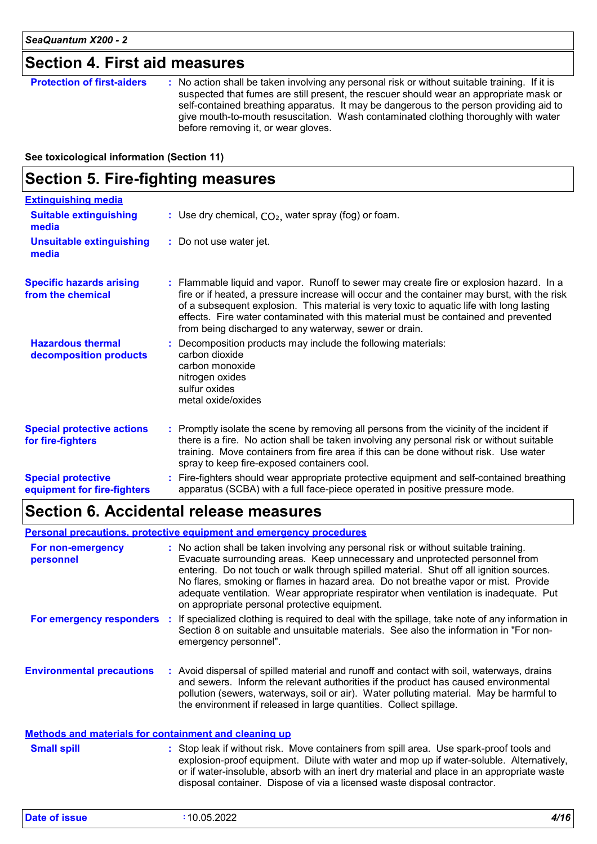### **Section 4. First aid measures**

| <b>Protection of first-aiders</b> | : No action shall be taken involving any personal risk or without suitable training. If it is<br>suspected that fumes are still present, the rescuer should wear an appropriate mask or<br>self-contained breathing apparatus. It may be dangerous to the person providing aid to<br>give mouth-to-mouth resuscitation. Wash contaminated clothing thoroughly with water<br>before removing it, or wear gloves. |
|-----------------------------------|-----------------------------------------------------------------------------------------------------------------------------------------------------------------------------------------------------------------------------------------------------------------------------------------------------------------------------------------------------------------------------------------------------------------|
|-----------------------------------|-----------------------------------------------------------------------------------------------------------------------------------------------------------------------------------------------------------------------------------------------------------------------------------------------------------------------------------------------------------------------------------------------------------------|

**See toxicological information (Section 11)**

### **Section 5. Fire-fighting measures**

| <b>Extinguishing media</b>                               |                                                                                                                                                                                                                                                                                                                                                                                                                                      |
|----------------------------------------------------------|--------------------------------------------------------------------------------------------------------------------------------------------------------------------------------------------------------------------------------------------------------------------------------------------------------------------------------------------------------------------------------------------------------------------------------------|
| <b>Suitable extinguishing</b><br>media                   | : Use dry chemical, $CO2$ , water spray (fog) or foam.                                                                                                                                                                                                                                                                                                                                                                               |
| <b>Unsuitable extinguishing</b><br>media                 | : Do not use water jet.                                                                                                                                                                                                                                                                                                                                                                                                              |
| <b>Specific hazards arising</b><br>from the chemical     | : Flammable liquid and vapor. Runoff to sewer may create fire or explosion hazard. In a<br>fire or if heated, a pressure increase will occur and the container may burst, with the risk<br>of a subsequent explosion. This material is very toxic to aquatic life with long lasting<br>effects. Fire water contaminated with this material must be contained and prevented<br>from being discharged to any waterway, sewer or drain. |
| <b>Hazardous thermal</b><br>decomposition products       | Decomposition products may include the following materials:<br>carbon dioxide<br>carbon monoxide<br>nitrogen oxides<br>sulfur oxides<br>metal oxide/oxides                                                                                                                                                                                                                                                                           |
| <b>Special protective actions</b><br>for fire-fighters   | : Promptly isolate the scene by removing all persons from the vicinity of the incident if<br>there is a fire. No action shall be taken involving any personal risk or without suitable<br>training. Move containers from fire area if this can be done without risk. Use water<br>spray to keep fire-exposed containers cool.                                                                                                        |
| <b>Special protective</b><br>equipment for fire-fighters | : Fire-fighters should wear appropriate protective equipment and self-contained breathing<br>apparatus (SCBA) with a full face-piece operated in positive pressure mode.                                                                                                                                                                                                                                                             |

### **Section 6. Accidental release measures**

#### **Personal precautions, protective equipment and emergency procedures**

| For non-emergency<br>personnel                               | : No action shall be taken involving any personal risk or without suitable training.<br>Evacuate surrounding areas. Keep unnecessary and unprotected personnel from<br>entering. Do not touch or walk through spilled material. Shut off all ignition sources.<br>No flares, smoking or flames in hazard area. Do not breathe vapor or mist. Provide<br>adequate ventilation. Wear appropriate respirator when ventilation is inadequate. Put<br>on appropriate personal protective equipment. |
|--------------------------------------------------------------|------------------------------------------------------------------------------------------------------------------------------------------------------------------------------------------------------------------------------------------------------------------------------------------------------------------------------------------------------------------------------------------------------------------------------------------------------------------------------------------------|
| For emergency responders                                     | If specialized clothing is required to deal with the spillage, take note of any information in<br>Section 8 on suitable and unsuitable materials. See also the information in "For non-<br>emergency personnel".                                                                                                                                                                                                                                                                               |
| <b>Environmental precautions</b>                             | : Avoid dispersal of spilled material and runoff and contact with soil, waterways, drains<br>and sewers. Inform the relevant authorities if the product has caused environmental<br>pollution (sewers, waterways, soil or air). Water polluting material. May be harmful to<br>the environment if released in large quantities. Collect spillage.                                                                                                                                              |
| <u>Methods and materials for containment and cleaning up</u> |                                                                                                                                                                                                                                                                                                                                                                                                                                                                                                |
| <b>Small spill</b>                                           | : Stop leak if without risk. Move containers from spill area. Use spark-proof tools and                                                                                                                                                                                                                                                                                                                                                                                                        |

explosion-proof equipment. Dilute with water and mop up if water-soluble. Alternatively, or if water-insoluble, absorb with an inert dry material and place in an appropriate waste disposal container. Dispose of via a licensed waste disposal contractor.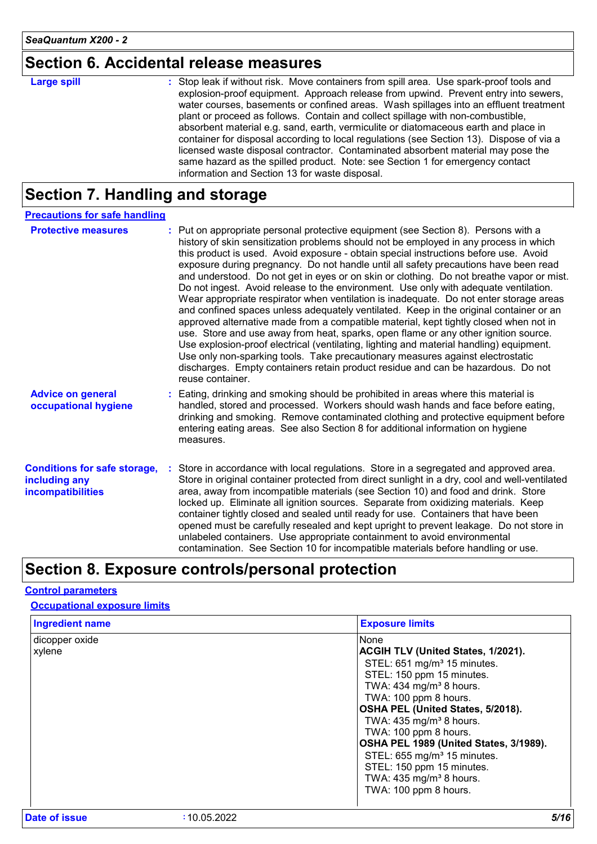# **Section 6. Accidental release measures**

| <b>Large spill</b> | : Stop leak if without risk. Move containers from spill area. Use spark-proof tools and<br>explosion-proof equipment. Approach release from upwind. Prevent entry into sewers,<br>water courses, basements or confined areas. Wash spillages into an effluent treatment<br>plant or proceed as follows. Contain and collect spillage with non-combustible,<br>absorbent material e.g. sand, earth, vermiculite or diatomaceous earth and place in<br>container for disposal according to local regulations (see Section 13). Dispose of via a<br>licensed waste disposal contractor. Contaminated absorbent material may pose the |
|--------------------|-----------------------------------------------------------------------------------------------------------------------------------------------------------------------------------------------------------------------------------------------------------------------------------------------------------------------------------------------------------------------------------------------------------------------------------------------------------------------------------------------------------------------------------------------------------------------------------------------------------------------------------|
|                    | same hazard as the spilled product. Note: see Section 1 for emergency contact<br>information and Section 13 for waste disposal.                                                                                                                                                                                                                                                                                                                                                                                                                                                                                                   |

# **Section 7. Handling and storage**

| <b>Precautions for safe handling</b>                                      |                                                                                                                                                                                                                                                                                                                                                                                                                                                                                                                                                                                                                                                                                                                                                                                                                                                                                                                                                                                                                                                                                                                                                                                                          |
|---------------------------------------------------------------------------|----------------------------------------------------------------------------------------------------------------------------------------------------------------------------------------------------------------------------------------------------------------------------------------------------------------------------------------------------------------------------------------------------------------------------------------------------------------------------------------------------------------------------------------------------------------------------------------------------------------------------------------------------------------------------------------------------------------------------------------------------------------------------------------------------------------------------------------------------------------------------------------------------------------------------------------------------------------------------------------------------------------------------------------------------------------------------------------------------------------------------------------------------------------------------------------------------------|
| <b>Protective measures</b>                                                | : Put on appropriate personal protective equipment (see Section 8). Persons with a<br>history of skin sensitization problems should not be employed in any process in which<br>this product is used. Avoid exposure - obtain special instructions before use. Avoid<br>exposure during pregnancy. Do not handle until all safety precautions have been read<br>and understood. Do not get in eyes or on skin or clothing. Do not breathe vapor or mist.<br>Do not ingest. Avoid release to the environment. Use only with adequate ventilation.<br>Wear appropriate respirator when ventilation is inadequate. Do not enter storage areas<br>and confined spaces unless adequately ventilated. Keep in the original container or an<br>approved alternative made from a compatible material, kept tightly closed when not in<br>use. Store and use away from heat, sparks, open flame or any other ignition source.<br>Use explosion-proof electrical (ventilating, lighting and material handling) equipment.<br>Use only non-sparking tools. Take precautionary measures against electrostatic<br>discharges. Empty containers retain product residue and can be hazardous. Do not<br>reuse container. |
| <b>Advice on general</b><br>occupational hygiene                          | : Eating, drinking and smoking should be prohibited in areas where this material is<br>handled, stored and processed. Workers should wash hands and face before eating,<br>drinking and smoking. Remove contaminated clothing and protective equipment before<br>entering eating areas. See also Section 8 for additional information on hygiene<br>measures.                                                                                                                                                                                                                                                                                                                                                                                                                                                                                                                                                                                                                                                                                                                                                                                                                                            |
| <b>Conditions for safe storage,</b><br>including any<br>incompatibilities | Store in accordance with local regulations. Store in a segregated and approved area.<br>Store in original container protected from direct sunlight in a dry, cool and well-ventilated<br>area, away from incompatible materials (see Section 10) and food and drink. Store<br>locked up. Eliminate all ignition sources. Separate from oxidizing materials. Keep<br>container tightly closed and sealed until ready for use. Containers that have been<br>opened must be carefully resealed and kept upright to prevent leakage. Do not store in<br>unlabeled containers. Use appropriate containment to avoid environmental<br>contamination. See Section 10 for incompatible materials before handling or use.                                                                                                                                                                                                                                                                                                                                                                                                                                                                                         |

# **Section 8. Exposure controls/personal protection**

#### **Control parameters**

**Occupational exposure limits**

| <b>Ingredient name</b>   | <b>Exposure limits</b>                                                                                                               |
|--------------------------|--------------------------------------------------------------------------------------------------------------------------------------|
| dicopper oxide<br>xylene | None<br><b>ACGIH TLV (United States, 1/2021).</b><br>STEL: 651 mg/m <sup>3</sup> 15 minutes.                                         |
|                          | STEL: 150 ppm 15 minutes.<br>TWA: 434 mg/m <sup>3</sup> 8 hours.<br>TWA: 100 ppm 8 hours.<br>OSHA PEL (United States, 5/2018).       |
|                          | TWA: $435 \text{ mg/m}^3$ 8 hours.<br>TWA: 100 ppm 8 hours.<br>OSHA PEL 1989 (United States, 3/1989).                                |
|                          | STEL: 655 mg/m <sup>3</sup> 15 minutes.<br>STEL: 150 ppm 15 minutes.<br>TWA: 435 mg/m <sup>3</sup> 8 hours.<br>TWA: 100 ppm 8 hours. |
|                          |                                                                                                                                      |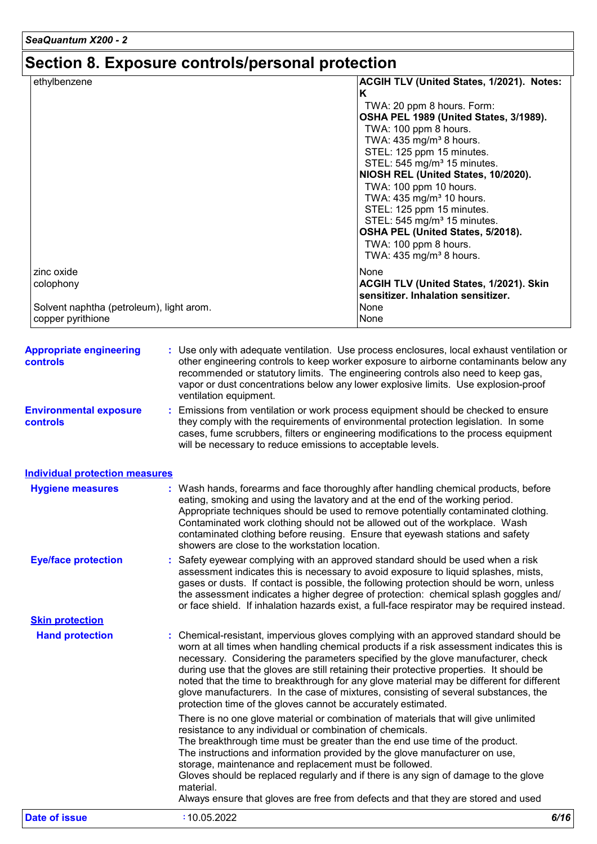# **Section 8. Exposure controls/personal protection**

| ethylbenzene                             | ACGIH TLV (United States, 1/2021). Notes: |
|------------------------------------------|-------------------------------------------|
|                                          | ĸ                                         |
|                                          | TWA: 20 ppm 8 hours. Form:                |
|                                          | OSHA PEL 1989 (United States, 3/1989).    |
|                                          | TWA: 100 ppm 8 hours.                     |
|                                          | TWA: 435 mg/m <sup>3</sup> 8 hours.       |
|                                          | STEL: 125 ppm 15 minutes.                 |
|                                          | STEL: 545 mg/m <sup>3</sup> 15 minutes.   |
|                                          | NIOSH REL (United States, 10/2020).       |
|                                          | TWA: 100 ppm 10 hours.                    |
|                                          | TWA: 435 mg/m <sup>3</sup> 10 hours.      |
|                                          | STEL: 125 ppm 15 minutes.                 |
|                                          | STEL: 545 mg/m <sup>3</sup> 15 minutes.   |
|                                          | OSHA PEL (United States, 5/2018).         |
|                                          | TWA: 100 ppm 8 hours.                     |
|                                          | TWA: $435 \text{ mg/m}^3$ 8 hours.        |
| zinc oxide                               | None                                      |
| colophony                                | ACGIH TLV (United States, 1/2021). Skin   |
|                                          | sensitizer. Inhalation sensitizer.        |
| Solvent naphtha (petroleum), light arom. | None                                      |
| copper pyrithione                        | None                                      |

| <b>Appropriate engineering</b><br>controls       | : Use only with adequate ventilation. Use process enclosures, local exhaust ventilation or<br>other engineering controls to keep worker exposure to airborne contaminants below any<br>recommended or statutory limits. The engineering controls also need to keep gas,<br>vapor or dust concentrations below any lower explosive limits. Use explosion-proof<br>ventilation equipment.                                                                                                                                                                                                                                |      |
|--------------------------------------------------|------------------------------------------------------------------------------------------------------------------------------------------------------------------------------------------------------------------------------------------------------------------------------------------------------------------------------------------------------------------------------------------------------------------------------------------------------------------------------------------------------------------------------------------------------------------------------------------------------------------------|------|
| <b>Environmental exposure</b><br><b>controls</b> | : Emissions from ventilation or work process equipment should be checked to ensure<br>they comply with the requirements of environmental protection legislation. In some<br>cases, fume scrubbers, filters or engineering modifications to the process equipment<br>will be necessary to reduce emissions to acceptable levels.                                                                                                                                                                                                                                                                                        |      |
| <b>Individual protection measures</b>            |                                                                                                                                                                                                                                                                                                                                                                                                                                                                                                                                                                                                                        |      |
| <b>Hygiene measures</b>                          | : Wash hands, forearms and face thoroughly after handling chemical products, before<br>eating, smoking and using the lavatory and at the end of the working period.<br>Appropriate techniques should be used to remove potentially contaminated clothing.<br>Contaminated work clothing should not be allowed out of the workplace. Wash<br>contaminated clothing before reusing. Ensure that eyewash stations and safety<br>showers are close to the workstation location.                                                                                                                                            |      |
| <b>Eye/face protection</b>                       | : Safety eyewear complying with an approved standard should be used when a risk<br>assessment indicates this is necessary to avoid exposure to liquid splashes, mists,<br>gases or dusts. If contact is possible, the following protection should be worn, unless<br>the assessment indicates a higher degree of protection: chemical splash goggles and/<br>or face shield. If inhalation hazards exist, a full-face respirator may be required instead.                                                                                                                                                              |      |
| <b>Skin protection</b>                           |                                                                                                                                                                                                                                                                                                                                                                                                                                                                                                                                                                                                                        |      |
| <b>Hand protection</b>                           | : Chemical-resistant, impervious gloves complying with an approved standard should be<br>worn at all times when handling chemical products if a risk assessment indicates this is<br>necessary. Considering the parameters specified by the glove manufacturer, check<br>during use that the gloves are still retaining their protective properties. It should be<br>noted that the time to breakthrough for any glove material may be different for different<br>glove manufacturers. In the case of mixtures, consisting of several substances, the<br>protection time of the gloves cannot be accurately estimated. |      |
|                                                  | There is no one glove material or combination of materials that will give unlimited<br>resistance to any individual or combination of chemicals.<br>The breakthrough time must be greater than the end use time of the product.<br>The instructions and information provided by the glove manufacturer on use,<br>storage, maintenance and replacement must be followed.<br>Gloves should be replaced regularly and if there is any sign of damage to the glove<br>material.<br>Always ensure that gloves are free from defects and that they are stored and used                                                      |      |
| <b>Date of issue</b>                             | :10.05.2022                                                                                                                                                                                                                                                                                                                                                                                                                                                                                                                                                                                                            | 6/16 |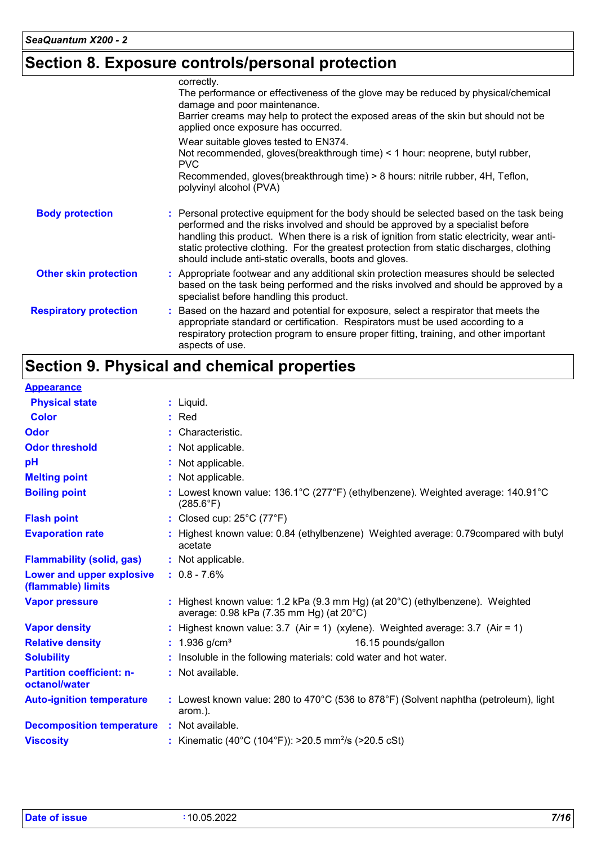# **Section 8. Exposure controls/personal protection**

|                               | correctly.<br>The performance or effectiveness of the glove may be reduced by physical/chemical<br>damage and poor maintenance.<br>Barrier creams may help to protect the exposed areas of the skin but should not be<br>applied once exposure has occurred.                                                                                                                                                                   |
|-------------------------------|--------------------------------------------------------------------------------------------------------------------------------------------------------------------------------------------------------------------------------------------------------------------------------------------------------------------------------------------------------------------------------------------------------------------------------|
|                               | Wear suitable gloves tested to EN374.<br>Not recommended, gloves(breakthrough time) < 1 hour: neoprene, butyl rubber,<br>PVC<br>Recommended, gloves(breakthrough time) > 8 hours: nitrile rubber, 4H, Teflon,<br>polyvinyl alcohol (PVA)                                                                                                                                                                                       |
| <b>Body protection</b>        | : Personal protective equipment for the body should be selected based on the task being<br>performed and the risks involved and should be approved by a specialist before<br>handling this product. When there is a risk of ignition from static electricity, wear anti-<br>static protective clothing. For the greatest protection from static discharges, clothing<br>should include anti-static overalls, boots and gloves. |
| <b>Other skin protection</b>  | : Appropriate footwear and any additional skin protection measures should be selected<br>based on the task being performed and the risks involved and should be approved by a<br>specialist before handling this product.                                                                                                                                                                                                      |
| <b>Respiratory protection</b> | : Based on the hazard and potential for exposure, select a respirator that meets the<br>appropriate standard or certification. Respirators must be used according to a<br>respiratory protection program to ensure proper fitting, training, and other important<br>aspects of use.                                                                                                                                            |

# **Section 9. Physical and chemical properties**

#### **Appearance**

| <b>Physical state</b>                             | $:$ Liquid.                                                                                                                         |
|---------------------------------------------------|-------------------------------------------------------------------------------------------------------------------------------------|
| <b>Color</b>                                      | $:$ Red                                                                                                                             |
| <b>Odor</b>                                       | : Characteristic.                                                                                                                   |
| <b>Odor threshold</b>                             | : Not applicable.                                                                                                                   |
| pH                                                | : Not applicable.                                                                                                                   |
| <b>Melting point</b>                              | : Not applicable.                                                                                                                   |
| <b>Boiling point</b>                              | : Lowest known value: 136.1°C (277°F) (ethylbenzene). Weighted average: 140.91°C<br>$(285.6^{\circ}F)$                              |
| <b>Flash point</b>                                | : Closed cup: $25^{\circ}$ C (77 $^{\circ}$ F)                                                                                      |
| <b>Evaporation rate</b>                           | Highest known value: 0.84 (ethylbenzene) Weighted average: 0.79 compared with butyl<br>acetate                                      |
| <b>Flammability (solid, gas)</b>                  | : Not applicable.                                                                                                                   |
| Lower and upper explosive<br>(flammable) limits   | $: 0.8 - 7.6\%$                                                                                                                     |
| <b>Vapor pressure</b>                             | : Highest known value: 1.2 kPa (9.3 mm Hg) (at $20^{\circ}$ C) (ethylbenzene). Weighted<br>average: 0.98 kPa (7.35 mm Hg) (at 20°C) |
| <b>Vapor density</b>                              | : Highest known value: $3.7$ (Air = 1) (xylene). Weighted average: $3.7$ (Air = 1)                                                  |
| <b>Relative density</b>                           | : $1.936$ g/cm <sup>3</sup><br>16.15 pounds/gallon                                                                                  |
| <b>Solubility</b>                                 | Insoluble in the following materials: cold water and hot water.                                                                     |
| <b>Partition coefficient: n-</b><br>octanol/water | : Not available.                                                                                                                    |
| <b>Auto-ignition temperature</b>                  | : Lowest known value: 280 to 470 $\degree$ C (536 to 878 $\degree$ F) (Solvent naphtha (petroleum), light<br>arom.).                |
| <b>Decomposition temperature : Not available.</b> |                                                                                                                                     |
| <b>Viscosity</b>                                  | : Kinematic (40°C (104°F)): >20.5 mm <sup>2</sup> /s (>20.5 cSt)                                                                    |
|                                                   |                                                                                                                                     |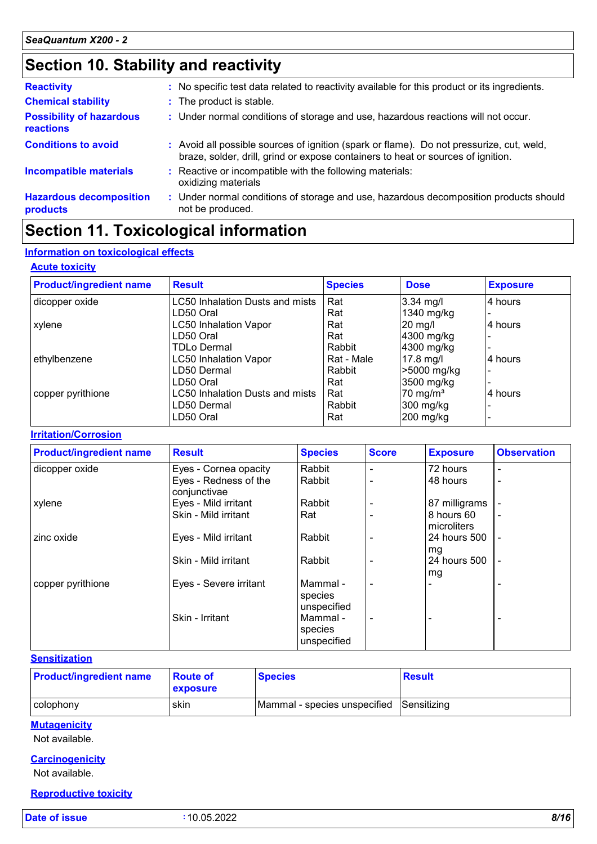# **Section 10. Stability and reactivity**

| <b>Reactivity</b>                                   | : No specific test data related to reactivity available for this product or its ingredients.                                                                                 |
|-----------------------------------------------------|------------------------------------------------------------------------------------------------------------------------------------------------------------------------------|
| <b>Chemical stability</b>                           | : The product is stable.                                                                                                                                                     |
| <b>Possibility of hazardous</b><br><b>reactions</b> | : Under normal conditions of storage and use, hazardous reactions will not occur.                                                                                            |
| <b>Conditions to avoid</b>                          | : Avoid all possible sources of ignition (spark or flame). Do not pressurize, cut, weld,<br>braze, solder, drill, grind or expose containers to heat or sources of ignition. |
| <b>Incompatible materials</b>                       | Reactive or incompatible with the following materials:<br>oxidizing materials                                                                                                |
| <b>Hazardous decomposition</b><br>products          | : Under normal conditions of storage and use, hazardous decomposition products should<br>not be produced.                                                                    |

## **Section 11. Toxicological information**

#### **Information on toxicological effects**

#### **Acute toxicity**

| <b>Product/ingredient name</b> | <b>Result</b>                   | <b>Species</b> | <b>Dose</b>         | <b>Exposure</b> |
|--------------------------------|---------------------------------|----------------|---------------------|-----------------|
| dicopper oxide                 | LC50 Inhalation Dusts and mists | Rat            | $3.34$ mg/l         | 4 hours         |
|                                | LD50 Oral                       | Rat            | 1340 mg/kg          |                 |
| xylene                         | <b>LC50 Inhalation Vapor</b>    | Rat            | 20 mg/l             | 4 hours         |
|                                | LD50 Oral                       | Rat            | 4300 mg/kg          |                 |
|                                | TDLo Dermal                     | Rabbit         | 4300 mg/kg          |                 |
| ethylbenzene                   | <b>LC50 Inhalation Vapor</b>    | Rat - Male     | $17.8$ mg/l         | 4 hours         |
|                                | LD50 Dermal                     | Rabbit         | >5000 mg/kg         |                 |
|                                | LD50 Oral                       | Rat            | 3500 mg/kg          |                 |
| copper pyrithione              | LC50 Inhalation Dusts and mists | Rat            | $70 \text{ mg/m}^3$ | 4 hours         |
|                                | LD50 Dermal                     | Rabbit         | 300 mg/kg           |                 |
|                                | LD50 Oral                       | Rat            | 200 mg/kg           |                 |

#### **Irritation/Corrosion**

| <b>Product/ingredient name</b> | <b>Result</b>                         | <b>Species</b>                     | <b>Score</b> | <b>Exposure</b>           | <b>Observation</b>       |
|--------------------------------|---------------------------------------|------------------------------------|--------------|---------------------------|--------------------------|
| dicopper oxide                 | Eyes - Cornea opacity                 | Rabbit                             |              | 72 hours                  | $\overline{\phantom{0}}$ |
|                                | Eyes - Redness of the<br>conjunctivae | Rabbit                             |              | 48 hours                  | $\overline{\phantom{0}}$ |
| xylene                         | Eyes - Mild irritant                  | Rabbit                             |              | 87 milligrams             |                          |
|                                | Skin - Mild irritant                  | Rat                                |              | 8 hours 60<br>microliters | $\overline{\phantom{0}}$ |
| zinc oxide                     | Eyes - Mild irritant                  | Rabbit                             |              | 24 hours 500<br>mg        |                          |
|                                | Skin - Mild irritant                  | Rabbit                             |              | 24 hours 500<br>mg        | $\blacksquare$           |
| copper pyrithione              | Eyes - Severe irritant                | Mammal -<br>species<br>unspecified |              |                           |                          |
|                                | Skin - Irritant                       | Mammal -<br>species<br>unspecified |              |                           |                          |

#### **Sensitization**

| <b>Product/ingredient name</b> | <b>Route of</b><br><b>exposure</b> | <b>Species</b>                           | <b>Result</b> |
|--------------------------------|------------------------------------|------------------------------------------|---------------|
| colophony                      | skin                               | Mammal - species unspecified Sensitizing |               |

#### **Mutagenicity**

Not available.

#### **Carcinogenicity**

Not available.

#### **Reproductive toxicity**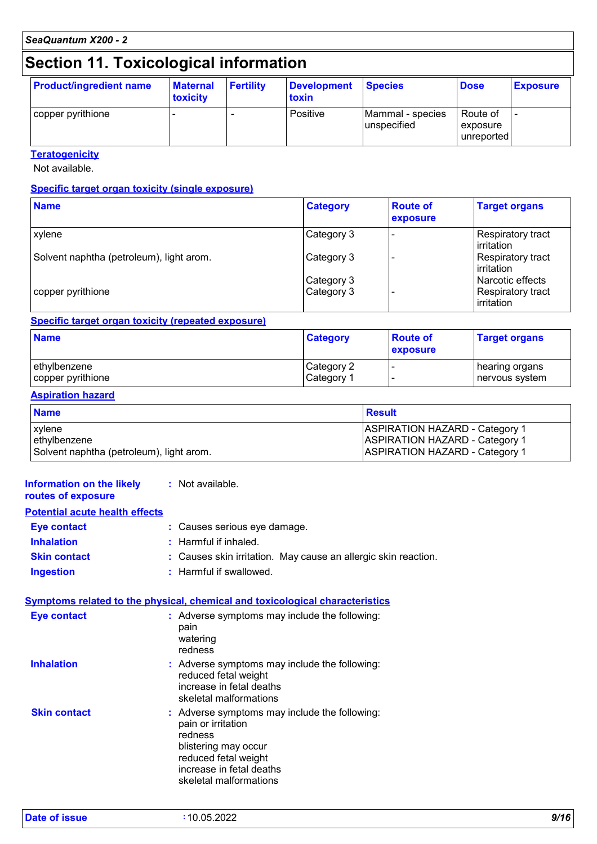*SeaQuantum X200 - 2*

### **Section 11. Toxicological information**

| <b>Product/ingredient name</b> | <b>Maternal</b><br>toxicity | <b>Fertility</b> | Development<br>toxin | <b>Species</b>                  | <b>Dose</b>                        | <b>Exposure</b>          |
|--------------------------------|-----------------------------|------------------|----------------------|---------------------------------|------------------------------------|--------------------------|
| copper pyrithione              |                             |                  | <b>Positive</b>      | Mammal - species<br>unspecified | Route of<br>exposure<br>unreported | $\overline{\phantom{0}}$ |

**Teratogenicity**

Not available.

#### **Specific target organ toxicity (single exposure)**

| <b>Name</b>                              | <b>Category</b>          | <b>Route of</b><br>exposure | <b>Target organs</b>                                         |
|------------------------------------------|--------------------------|-----------------------------|--------------------------------------------------------------|
| xylene                                   | Category 3               |                             | Respiratory tract<br>l irritation                            |
| Solvent naphtha (petroleum), light arom. | Category 3               |                             | Respiratory tract<br><b>l</b> irritation                     |
| copper pyrithione                        | Category 3<br>Category 3 |                             | l Narcotic effects<br><b>Respiratory tract</b><br>irritation |

#### **Specific target organ toxicity (repeated exposure)**

| <b>Name</b>       | <b>Category</b>       | <b>Route of</b><br>exposure | <b>Target organs</b> |
|-------------------|-----------------------|-----------------------------|----------------------|
| lethvlbenzene     | Category 2            |                             | hearing organs       |
| copper pyrithione | Category <sup>1</sup> |                             | l nervous svstem     |

#### **Aspiration hazard**

| <b>Name</b>                              | Result                                |
|------------------------------------------|---------------------------------------|
| xylene                                   | <b>ASPIRATION HAZARD - Category 1</b> |
| ethylbenzene                             | <b>ASPIRATION HAZARD - Category 1</b> |
| Solvent naphtha (petroleum), light arom. | <b>ASPIRATION HAZARD - Category 1</b> |

#### **Information on the likely routes of exposure Inhalation :** Harmful if inhaled. **Ingestion :** Harmful if swallowed. **Skin contact :** Causes skin irritation. May cause an allergic skin reaction. **Eye contact :** Causes serious eye damage. **Symptoms related to the physical, chemical and toxicological characteristics Skin contact Inhalation Adverse symptoms may include the following:**  $\blacksquare$ reduced fetal weight increase in fetal deaths skeletal malformations Adverse symptoms may include the following: **:** pain or irritation redness blistering may occur reduced fetal weight increase in fetal deaths skeletal malformations **Eye contact :** Adverse symptoms may include the following: pain watering redness **:** Not available. **Potential acute health effects**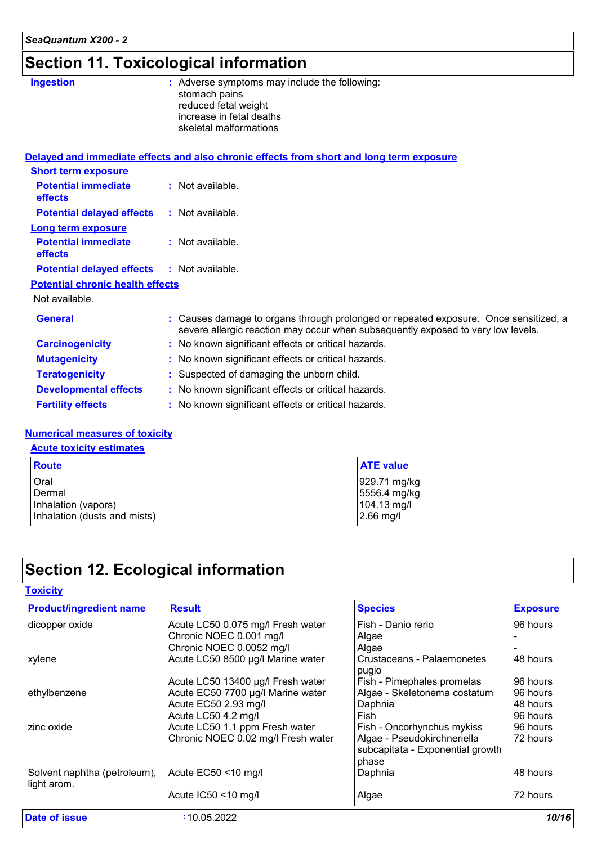# **Section 11. Toxicological information**

| <b>Ingestion</b>                        | : Adverse symptoms may include the following:<br>stomach pains<br>reduced fetal weight<br>increase in fetal deaths<br>skeletal malformations                             |
|-----------------------------------------|--------------------------------------------------------------------------------------------------------------------------------------------------------------------------|
|                                         | Delayed and immediate effects and also chronic effects from short and long term exposure                                                                                 |
| <b>Short term exposure</b>              |                                                                                                                                                                          |
| <b>Potential immediate</b><br>effects   | : Not available.                                                                                                                                                         |
| <b>Potential delayed effects</b>        | : Not available.                                                                                                                                                         |
| <b>Long term exposure</b>               |                                                                                                                                                                          |
| <b>Potential immediate</b><br>effects   | $:$ Not available.                                                                                                                                                       |
| <b>Potential delayed effects</b>        | : Not available.                                                                                                                                                         |
| <b>Potential chronic health effects</b> |                                                                                                                                                                          |
| Not available.                          |                                                                                                                                                                          |
| <b>General</b>                          | : Causes damage to organs through prolonged or repeated exposure. Once sensitized, a<br>severe allergic reaction may occur when subsequently exposed to very low levels. |
| <b>Carcinogenicity</b>                  | : No known significant effects or critical hazards.                                                                                                                      |
| <b>Mutagenicity</b>                     | : No known significant effects or critical hazards.                                                                                                                      |
| <b>Teratogenicity</b>                   | : Suspected of damaging the unborn child.                                                                                                                                |
| <b>Developmental effects</b>            | : No known significant effects or critical hazards.                                                                                                                      |
| <b>Fertility effects</b>                | : No known significant effects or critical hazards.                                                                                                                      |

#### **Numerical measures of toxicity**

#### **Acute toxicity estimates**

| <b>Route</b>                 | <b>ATE value</b>       |
|------------------------------|------------------------|
| Oral                         | $929.71 \text{ mg/kg}$ |
| Dermal                       | 5556.4 mg/kg           |
| Inhalation (vapors)          | 104.13 mg/l            |
| Inhalation (dusts and mists) | $2.66$ mg/l            |

# **Section 12. Ecological information**

| <b>Product/ingredient name</b>              | <b>Result</b>                      | <b>Species</b>                                                  | <b>Exposure</b> |
|---------------------------------------------|------------------------------------|-----------------------------------------------------------------|-----------------|
| dicopper oxide                              | Acute LC50 0.075 mg/l Fresh water  | Fish - Danio rerio                                              | 96 hours        |
|                                             | Chronic NOEC 0.001 mg/l            | Algae                                                           |                 |
|                                             | Chronic NOEC 0.0052 mg/l           | Algae                                                           |                 |
| xylene                                      | Acute LC50 8500 µg/l Marine water  | Crustaceans - Palaemonetes                                      | 48 hours        |
|                                             |                                    | pugio                                                           |                 |
|                                             | Acute LC50 13400 µg/l Fresh water  | Fish - Pimephales promelas                                      | 96 hours        |
| ethylbenzene                                | Acute EC50 7700 µg/l Marine water  | Algae - Skeletonema costatum                                    | 96 hours        |
|                                             | Acute EC50 2.93 mg/l               | Daphnia                                                         | 48 hours        |
|                                             | Acute LC50 4.2 mg/l                | Fish                                                            | 96 hours        |
| zinc oxide                                  | Acute LC50 1.1 ppm Fresh water     | Fish - Oncorhynchus mykiss                                      | 96 hours        |
|                                             | Chronic NOEC 0.02 mg/l Fresh water | Algae - Pseudokirchneriella<br>subcapitata - Exponential growth | 72 hours        |
|                                             |                                    | phase                                                           |                 |
| Solvent naphtha (petroleum),<br>light arom. | Acute EC50 <10 mg/l                | Daphnia                                                         | 48 hours        |
|                                             | Acute IC50 <10 mg/l                | Algae                                                           | 72 hours        |
| Date of issue                               | :10.05.2022                        |                                                                 | 10/16           |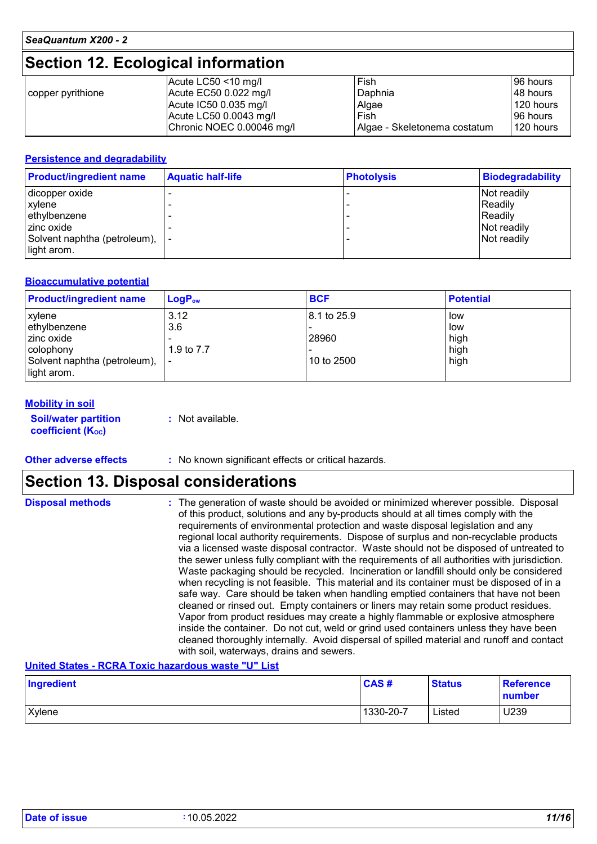## **Section 12. Ecological information**

|                   | Acute LC50 $<$ 10 mg/l    | Fish                         | 96 hours  |
|-------------------|---------------------------|------------------------------|-----------|
| copper pyrithione | Acute $EC50$ 0.022 mg/l   | Daphnia                      | 48 hours  |
|                   | Acute $IC500.035$ mg/l    | Algae                        | 120 hours |
|                   | Acute LC50 0.0043 mg/l    | Fish                         | 96 hours  |
|                   | Chronic NOEC 0.00046 mg/l | Algae - Skeletonema costatum | 120 hours |

#### **Persistence and degradability**

| <b>Product/ingredient name</b>  | <b>Aquatic half-life</b> | <b>Photolysis</b> | <b>Biodegradability</b> |
|---------------------------------|--------------------------|-------------------|-------------------------|
| dicopper oxide                  |                          |                   | Not readily             |
| xylene                          |                          |                   | Readily                 |
| ethylbenzene                    |                          |                   | Readily                 |
| zinc oxide                      |                          |                   | Not readily             |
| Solvent naphtha (petroleum),  - |                          |                   | Not readily             |
| light arom.                     |                          |                   |                         |

#### **Bioaccumulative potential**

| <b>Product/ingredient name</b> | $LogP_{ow}$ | <b>BCF</b>    | <b>Potential</b> |
|--------------------------------|-------------|---------------|------------------|
| xylene                         | 3.12        | l 8.1 to 25.9 | low              |
| ethylbenzene                   | 3.6         |               | low              |
| zinc oxide                     |             | 28960         | high             |
| colophony                      | 1.9 to 7.7  |               | high             |
| Solvent naphtha (petroleum),   |             | 10 to 2500    | high             |
| light arom.                    |             |               |                  |

#### **Mobility in soil**

**Soil/water partition coefficient (Koc) :** Not available.

**Other adverse effects** : No known significant effects or critical hazards.

### **Section 13. Disposal considerations**

| <b>Disposal methods</b> | : The generation of waste should be avoided or minimized wherever possible. Disposal<br>of this product, solutions and any by-products should at all times comply with the<br>requirements of environmental protection and waste disposal legislation and any<br>regional local authority requirements. Dispose of surplus and non-recyclable products<br>via a licensed waste disposal contractor. Waste should not be disposed of untreated to<br>the sewer unless fully compliant with the requirements of all authorities with jurisdiction.<br>Waste packaging should be recycled. Incineration or landfill should only be considered<br>when recycling is not feasible. This material and its container must be disposed of in a<br>safe way. Care should be taken when handling emptied containers that have not been<br>cleaned or rinsed out. Empty containers or liners may retain some product residues.<br>Vapor from product residues may create a highly flammable or explosive atmosphere |
|-------------------------|----------------------------------------------------------------------------------------------------------------------------------------------------------------------------------------------------------------------------------------------------------------------------------------------------------------------------------------------------------------------------------------------------------------------------------------------------------------------------------------------------------------------------------------------------------------------------------------------------------------------------------------------------------------------------------------------------------------------------------------------------------------------------------------------------------------------------------------------------------------------------------------------------------------------------------------------------------------------------------------------------------|
|                         | inside the container. Do not cut, weld or grind used containers unless they have been<br>cleaned thoroughly internally. Avoid dispersal of spilled material and runoff and contact<br>with soil, waterways, drains and sewers.                                                                                                                                                                                                                                                                                                                                                                                                                                                                                                                                                                                                                                                                                                                                                                           |

#### **United States - RCRA Toxic hazardous waste "U" List**

| Ingredient    | CAS#      | <b>Status</b> | <b>Reference</b><br>number |
|---------------|-----------|---------------|----------------------------|
| <b>Xylene</b> | 1330-20-7 | Listed        | U239                       |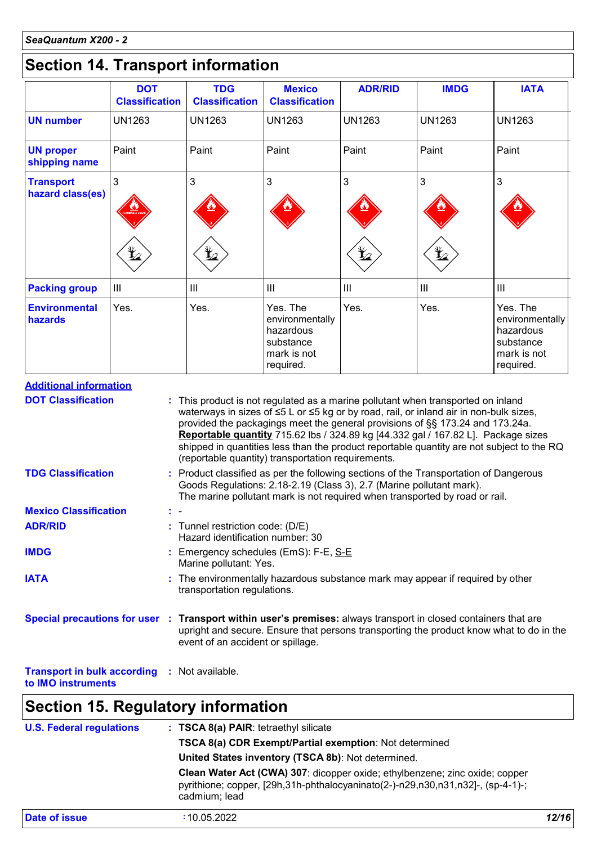# **Section 14. Transport information**

|                                                                                                                                                                                                 | <b>DOT</b><br><b>Classification</b> | <b>TDG</b><br><b>Classification</b>                                  | <b>Mexico</b><br><b>Classification</b>                                                                                                                                                                                           | <b>ADR/RID</b> | <b>IMDG</b>                                                                   | <b>IATA</b>                                                                               |
|-------------------------------------------------------------------------------------------------------------------------------------------------------------------------------------------------|-------------------------------------|----------------------------------------------------------------------|----------------------------------------------------------------------------------------------------------------------------------------------------------------------------------------------------------------------------------|----------------|-------------------------------------------------------------------------------|-------------------------------------------------------------------------------------------|
| <b>UN number</b>                                                                                                                                                                                | <b>UN1263</b>                       | <b>UN1263</b>                                                        | <b>UN1263</b>                                                                                                                                                                                                                    | <b>UN1263</b>  | <b>UN1263</b>                                                                 | <b>UN1263</b>                                                                             |
| <b>UN proper</b><br>shipping name                                                                                                                                                               | Paint                               | Paint                                                                | Paint                                                                                                                                                                                                                            | Paint          | Paint                                                                         | Paint                                                                                     |
| <b>Transport</b><br>hazard class(es)                                                                                                                                                            | 3                                   | 3                                                                    | 3                                                                                                                                                                                                                                | 3              | 3                                                                             | 3                                                                                         |
|                                                                                                                                                                                                 |                                     | L.                                                                   |                                                                                                                                                                                                                                  | L.             |                                                                               |                                                                                           |
| <b>Packing group</b>                                                                                                                                                                            | Ш                                   | III                                                                  | III                                                                                                                                                                                                                              | Ш              | Ш                                                                             | $\mathbf{III}$                                                                            |
| <b>Environmental</b><br>hazards                                                                                                                                                                 | Yes.                                | Yes.                                                                 | Yes. The<br>environmentally<br>hazardous<br>substance<br>mark is not<br>required.                                                                                                                                                | Yes.           | Yes.                                                                          | Yes. The<br>environmentally<br>hazardous<br>substance<br>mark is not<br>required.         |
|                                                                                                                                                                                                 |                                     |                                                                      |                                                                                                                                                                                                                                  |                |                                                                               | waterways in sizes of ≤5 L or ≤5 kg or by road, rail, or inland air in non-bulk sizes,    |
| <b>TDG Classification</b>                                                                                                                                                                       |                                     |                                                                      | Reportable quantity 715.62 lbs / 324.89 kg [44.332 gal / 167.82 L]. Package sizes<br>(reportable quantity) transportation requirements.<br>: Product classified as per the following sections of the Transportation of Dangerous |                | provided the packagings meet the general provisions of §§ 173.24 and 173.24a. | shipped in quantities less than the product reportable quantity are not subject to the RQ |
|                                                                                                                                                                                                 |                                     |                                                                      | Goods Regulations: 2.18-2.19 (Class 3), 2.7 (Marine pollutant mark).<br>The marine pollutant mark is not required when transported by road or rail.                                                                              |                |                                                                               |                                                                                           |
|                                                                                                                                                                                                 |                                     | : Tunnel restriction code: (D/E)<br>Hazard identification number: 30 |                                                                                                                                                                                                                                  |                |                                                                               |                                                                                           |
|                                                                                                                                                                                                 |                                     |                                                                      | Emergency schedules (EmS): F-E, S-E                                                                                                                                                                                              |                |                                                                               |                                                                                           |
|                                                                                                                                                                                                 |                                     | Marine pollutant: Yes.<br>transportation regulations.                | : The environmentally hazardous substance mark may appear if required by other                                                                                                                                                   |                |                                                                               |                                                                                           |
| <b>Mexico Classification</b><br><b>ADR/RID</b><br><b>IMDG</b><br><b>IATA</b><br>Special precautions for user : Transport within user's premises: always transport in closed containers that are |                                     | event of an accident or spillage.                                    |                                                                                                                                                                                                                                  |                |                                                                               | upright and secure. Ensure that persons transporting the product know what to do in the   |

| <b>U.S. Federal regulations</b> | : TSCA 8(a) PAIR: tetraethyl silicate<br>TSCA 8(a) CDR Exempt/Partial exemption: Not determined<br>United States inventory (TSCA 8b): Not determined.                           |       |
|---------------------------------|---------------------------------------------------------------------------------------------------------------------------------------------------------------------------------|-------|
|                                 | Clean Water Act (CWA) 307: dicopper oxide; ethylbenzene; zinc oxide; copper<br>pyrithione; copper, [29h,31h-phthalocyaninato(2-)-n29,n30,n31,n32]-, (sp-4-1)-;<br>cadmium; lead |       |
| <b>Date of issue</b>            | :10.05.2022                                                                                                                                                                     | 12/16 |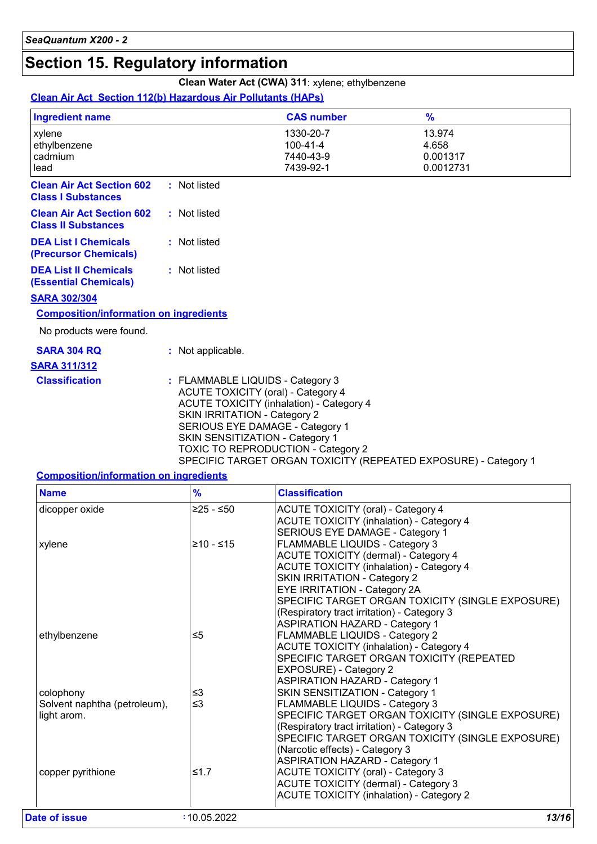# **Section 15. Regulatory information**

### **Clean Water Act (CWA) 311**: xylene; ethylbenzene

#### **Clean Air Act Section 112(b) Hazardous Air Pollutants (HAPs)**

| <b>Ingredient name</b>                                         |                                                                         | <b>CAS number</b>                                                                                                                                                                                        | $\frac{9}{6}$                                                   |
|----------------------------------------------------------------|-------------------------------------------------------------------------|----------------------------------------------------------------------------------------------------------------------------------------------------------------------------------------------------------|-----------------------------------------------------------------|
| xylene<br>ethylbenzene<br>cadmium<br>lead                      |                                                                         | 1330-20-7<br>$100 - 41 - 4$<br>7440-43-9<br>7439-92-1                                                                                                                                                    | 13.974<br>4.658<br>0.001317<br>0.0012731                        |
| <b>Clean Air Act Section 602</b><br><b>Class I Substances</b>  | : Not listed                                                            |                                                                                                                                                                                                          |                                                                 |
| <b>Clean Air Act Section 602</b><br><b>Class II Substances</b> | : Not listed                                                            |                                                                                                                                                                                                          |                                                                 |
| <b>DEA List I Chemicals</b><br>(Precursor Chemicals)           | : Not listed                                                            |                                                                                                                                                                                                          |                                                                 |
| <b>DEA List II Chemicals</b><br><b>(Essential Chemicals)</b>   | : Not listed                                                            |                                                                                                                                                                                                          |                                                                 |
| <b>SARA 302/304</b>                                            |                                                                         |                                                                                                                                                                                                          |                                                                 |
| <b>Composition/information on ingredients</b>                  |                                                                         |                                                                                                                                                                                                          |                                                                 |
| No products were found.                                        |                                                                         |                                                                                                                                                                                                          |                                                                 |
| <b>SARA 304 RQ</b>                                             | : Not applicable.                                                       |                                                                                                                                                                                                          |                                                                 |
| <b>SARA 311/312</b>                                            |                                                                         |                                                                                                                                                                                                          |                                                                 |
| <b>Classification</b>                                          | : FLAMMABLE LIQUIDS - Category 3<br><b>SKIN IRRITATION - Category 2</b> | <b>ACUTE TOXICITY (oral) - Category 4</b><br><b>ACUTE TOXICITY (inhalation) - Category 4</b><br>SERIOUS EYE DAMAGE - Category 1<br>SKIN SENSITIZATION - Category 1<br>TOXIC TO REPRODUCTION - Category 2 | SPECIFIC TARGET ORGAN TOXICITY (REPEATED EXPOSURE) - Category 1 |
|                                                                |                                                                         |                                                                                                                                                                                                          |                                                                 |

#### **Composition/information on ingredients**

| <b>Name</b>                  | $\frac{9}{6}$ | <b>Classification</b>                            |
|------------------------------|---------------|--------------------------------------------------|
| dicopper oxide               | $≥25 - ≤50$   | <b>ACUTE TOXICITY (oral) - Category 4</b>        |
|                              |               | <b>ACUTE TOXICITY (inhalation) - Category 4</b>  |
|                              |               | SERIOUS EYE DAMAGE - Category 1                  |
| xylene                       | $≥10 - ≤15$   | FLAMMABLE LIQUIDS - Category 3                   |
|                              |               | ACUTE TOXICITY (dermal) - Category 4             |
|                              |               | <b>ACUTE TOXICITY (inhalation) - Category 4</b>  |
|                              |               | <b>SKIN IRRITATION - Category 2</b>              |
|                              |               | EYE IRRITATION - Category 2A                     |
|                              |               | SPECIFIC TARGET ORGAN TOXICITY (SINGLE EXPOSURE) |
|                              |               | (Respiratory tract irritation) - Category 3      |
|                              |               | <b>ASPIRATION HAZARD - Category 1</b>            |
| ethylbenzene                 | $\leq 5$      | FLAMMABLE LIQUIDS - Category 2                   |
|                              |               | <b>ACUTE TOXICITY (inhalation) - Category 4</b>  |
|                              |               | SPECIFIC TARGET ORGAN TOXICITY (REPEATED         |
|                              |               | EXPOSURE) - Category 2                           |
|                              |               | <b>ASPIRATION HAZARD - Category 1</b>            |
| colophony                    | ≤3            | SKIN SENSITIZATION - Category 1                  |
| Solvent naphtha (petroleum), | $\leq$ 3      | FLAMMABLE LIQUIDS - Category 3                   |
| light arom.                  |               | SPECIFIC TARGET ORGAN TOXICITY (SINGLE EXPOSURE) |
|                              |               | (Respiratory tract irritation) - Category 3      |
|                              |               | SPECIFIC TARGET ORGAN TOXICITY (SINGLE EXPOSURE) |
|                              |               | (Narcotic effects) - Category 3                  |
|                              |               | <b>ASPIRATION HAZARD - Category 1</b>            |
| copper pyrithione            | ≤1.7          | <b>ACUTE TOXICITY (oral) - Category 3</b>        |
|                              |               | ACUTE TOXICITY (dermal) - Category 3             |
|                              |               | <b>ACUTE TOXICITY (inhalation) - Category 2</b>  |
| Date of issue                | :10.05.2022   | 13/16                                            |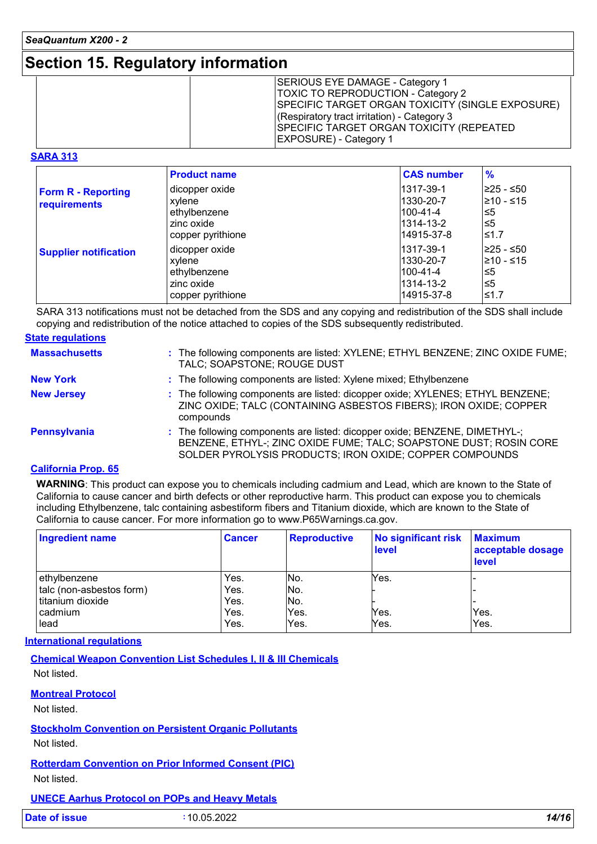### **Section 15. Regulatory information**

|--|

#### **SARA 313**

|                                                  | <b>Product name</b>                                                         | <b>CAS number</b>                                             | $\frac{9}{6}$                                  |
|--------------------------------------------------|-----------------------------------------------------------------------------|---------------------------------------------------------------|------------------------------------------------|
| <b>Form R - Reporting</b><br><b>requirements</b> | dicopper oxide<br>xylene<br>ethylbenzene<br>zinc oxide<br>copper pyrithione | 1317-39-1<br>1330-20-7<br>100-41-4<br>1314-13-2<br>14915-37-8 | l≥25 - ≤50<br>l≥10 - ≤15<br>≤5<br>l≤5<br>l≤1.7 |
| <b>Supplier notification</b>                     | dicopper oxide<br>xylene<br>ethylbenzene<br>zinc oxide                      | 1317-39-1<br>1330-20-7<br>l100-41-4<br>1314-13-2              | ≥25 - ≤50<br>l≥10 - ≤15<br>≤5<br>l≤5           |
|                                                  | copper pyrithione                                                           | 14915-37-8                                                    | l≤1.7                                          |

SARA 313 notifications must not be detached from the SDS and any copying and redistribution of the SDS shall include copying and redistribution of the notice attached to copies of the SDS subsequently redistributed.

| <b>State regulations</b> |                                                                                                                                                                                                             |
|--------------------------|-------------------------------------------------------------------------------------------------------------------------------------------------------------------------------------------------------------|
| <b>Massachusetts</b>     | : The following components are listed: XYLENE; ETHYL BENZENE; ZINC OXIDE FUME;<br>TALC; SOAPSTONE; ROUGE DUST                                                                                               |
| <b>New York</b>          | : The following components are listed: Xylene mixed; Ethylbenzene                                                                                                                                           |
| <b>New Jersey</b>        | : The following components are listed: dicopper oxide; XYLENES; ETHYL BENZENE;<br>ZINC OXIDE; TALC (CONTAINING ASBESTOS FIBERS); IRON OXIDE; COPPER<br>compounds                                            |
| <b>Pennsylvania</b>      | : The following components are listed: dicopper oxide; BENZENE, DIMETHYL-;<br>BENZENE, ETHYL-; ZINC OXIDE FUME; TALC; SOAPSTONE DUST; ROSIN CORE<br>SOLDER PYROLYSIS PRODUCTS; IRON OXIDE; COPPER COMPOUNDS |

#### **California Prop. 65**

**WARNING**: This product can expose you to chemicals including cadmium and Lead, which are known to the State of California to cause cancer and birth defects or other reproductive harm. This product can expose you to chemicals including Ethylbenzene, talc containing asbestiform fibers and Titanium dioxide, which are known to the State of California to cause cancer. For more information go to www.P65Warnings.ca.gov.

| <b>Ingredient name</b>   | <b>Cancer</b> | <b>Reproductive</b> | No significant risk<br>level | <b>Maximum</b><br>acceptable dosage<br>level |
|--------------------------|---------------|---------------------|------------------------------|----------------------------------------------|
| ethylbenzene             | Yes.          | No.                 | Yes.                         |                                              |
| talc (non-asbestos form) | Yes.          | No.                 |                              |                                              |
| titanium dioxide         | Yes.          | No.                 |                              |                                              |
| cadmium                  | Yes.          | Yes.                | Yes.                         | Yes.                                         |
| lead                     | Yes.          | Yes.                | Yes.                         | Yes.                                         |

#### **International regulations**

**Chemical Weapon Convention List Schedules I, II & III Chemicals**

Not listed.

#### **Montreal Protocol**

Not listed.

**Stockholm Convention on Persistent Organic Pollutants**

Not listed.

**Rotterdam Convention on Prior Informed Consent (PIC)** Not listed.

#### **UNECE Aarhus Protocol on POPs and Heavy Metals**

| <b>Date of issue</b> | 10.05.2022 | 14/16 |
|----------------------|------------|-------|
|                      |            |       |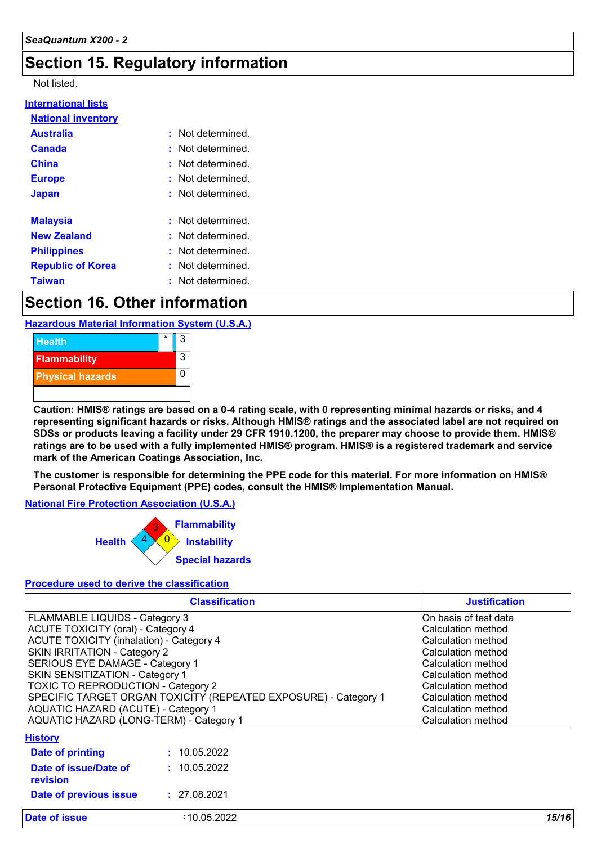# **Section 15. Regulatory information**

#### Not listed.

| : Not determined       |
|------------------------|
| : Not determined       |
| : Not determined.      |
| : Not determined.      |
| : Not determined.      |
|                        |
| $:$ Not determined $:$ |
| : Not determined       |
| : Not determined.      |
| : Not determined.      |
| : Not determined       |
|                        |

### **Section 16. Other information**

**Hazardous Material Information System (U.S.A.)**



**Caution: HMIS® ratings are based on a 0-4 rating scale, with 0 representing minimal hazards or risks, and 4 representing significant hazards or risks. Although HMIS® ratings and the associated label are not required on SDSs or products leaving a facility under 29 CFR 1910.1200, the preparer may choose to provide them. HMIS® ratings are to be used with a fully implemented HMIS® program. HMIS® is a registered trademark and service mark of the American Coatings Association, Inc.**

**The customer is responsible for determining the PPE code for this material. For more information on HMIS® Personal Protective Equipment (PPE) codes, consult the HMIS® Implementation Manual.**

#### **National Fire Protection Association (U.S.A.)**



#### **Procedure used to derive the classification**

|                                                                                                                                                                                                                                                                                                                                                                                                                                        | <b>Classification</b> | <b>Justification</b>                                                                                                                                                                                                        |
|----------------------------------------------------------------------------------------------------------------------------------------------------------------------------------------------------------------------------------------------------------------------------------------------------------------------------------------------------------------------------------------------------------------------------------------|-----------------------|-----------------------------------------------------------------------------------------------------------------------------------------------------------------------------------------------------------------------------|
| FLAMMABLE LIQUIDS - Category 3<br><b>ACUTE TOXICITY (oral) - Category 4</b><br><b>ACUTE TOXICITY (inhalation) - Category 4</b><br>SKIN IRRITATION - Category 2<br>SERIOUS EYE DAMAGE - Category 1<br>SKIN SENSITIZATION - Category 1<br><b>TOXIC TO REPRODUCTION - Category 2</b><br>SPECIFIC TARGET ORGAN TOXICITY (REPEATED EXPOSURE) - Category 1<br>AQUATIC HAZARD (ACUTE) - Category 1<br>AQUATIC HAZARD (LONG-TERM) - Category 1 |                       | On basis of test data<br>Calculation method<br>Calculation method<br>Calculation method<br>Calculation method<br>Calculation method<br>Calculation method<br>Calculation method<br>Calculation method<br>Calculation method |
| <b>History</b>                                                                                                                                                                                                                                                                                                                                                                                                                         |                       |                                                                                                                                                                                                                             |
| Date of printing                                                                                                                                                                                                                                                                                                                                                                                                                       | : 10.05.2022          |                                                                                                                                                                                                                             |
| Date of issue/Date of<br>revision                                                                                                                                                                                                                                                                                                                                                                                                      | : 10.05.2022          |                                                                                                                                                                                                                             |
| Date of previous issue                                                                                                                                                                                                                                                                                                                                                                                                                 | : 27.08.2021          |                                                                                                                                                                                                                             |
| Date of issue                                                                                                                                                                                                                                                                                                                                                                                                                          | :10.05.2022           | 15/16                                                                                                                                                                                                                       |